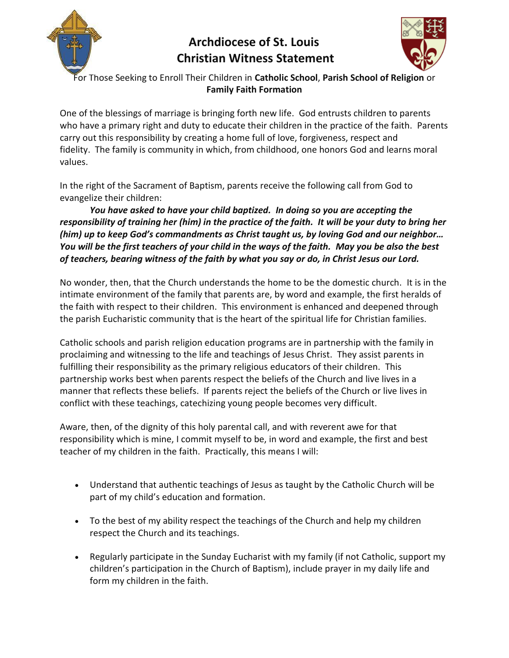

## **Archdiocese of St. Louis Christian Witness Statement**



For Those Seeking to Enroll Their Children in **Catholic School**, **Parish School of Religion** or **Family Faith Formation**

One of the blessings of marriage is bringing forth new life. God entrusts children to parents who have a primary right and duty to educate their children in the practice of the faith. Parents carry out this responsibility by creating a home full of love, forgiveness, respect and fidelity. The family is community in which, from childhood, one honors God and learns moral values.

In the right of the Sacrament of Baptism, parents receive the following call from God to evangelize their children:

*You have asked to have your child baptized. In doing so you are accepting the responsibility of training her (him) in the practice of the faith. It will be your duty to bring her (him) up to keep God's commandments as Christ taught us, by loving God and our neighbor… You will be the first teachers of your child in the ways of the faith. May you be also the best of teachers, bearing witness of the faith by what you say or do, in Christ Jesus our Lord.*

No wonder, then, that the Church understands the home to be the domestic church. It is in the intimate environment of the family that parents are, by word and example, the first heralds of the faith with respect to their children. This environment is enhanced and deepened through the parish Eucharistic community that is the heart of the spiritual life for Christian families.

Catholic schools and parish religion education programs are in partnership with the family in proclaiming and witnessing to the life and teachings of Jesus Christ. They assist parents in fulfilling their responsibility as the primary religious educators of their children. This partnership works best when parents respect the beliefs of the Church and live lives in a manner that reflects these beliefs. If parents reject the beliefs of the Church or live lives in conflict with these teachings, catechizing young people becomes very difficult.

Aware, then, of the dignity of this holy parental call, and with reverent awe for that responsibility which is mine, I commit myself to be, in word and example, the first and best teacher of my children in the faith. Practically, this means I will:

- Understand that authentic teachings of Jesus as taught by the Catholic Church will be part of my child's education and formation.
- To the best of my ability respect the teachings of the Church and help my children respect the Church and its teachings.
- Regularly participate in the Sunday Eucharist with my family (if not Catholic, support my children's participation in the Church of Baptism), include prayer in my daily life and form my children in the faith.